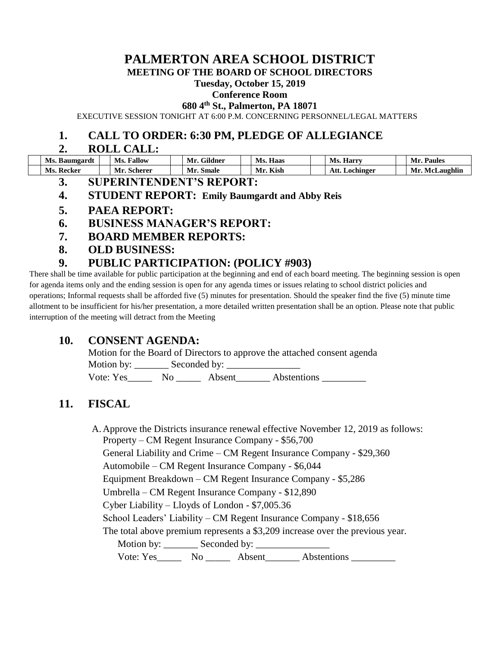# **PALMERTON AREA SCHOOL DISTRICT**

**MEETING OF THE BOARD OF SCHOOL DIRECTORS**

#### **Tuesday, October 15, 2019**

#### **Conference Room**

**680 4th St., Palmerton, PA 18071**

EXECUTIVE SESSION TONIGHT AT 6:00 P.M. CONCERNING PERSONNEL/LEGAL MATTERS

# **1. CALL TO ORDER: 6:30 PM, PLEDGE OF ALLEGIANCE**

### **2. ROLL CALL:**

| Ms.<br>. Baumgardt | Fallow<br>Ms. | <b>OUID</b><br>Gildner | Haas<br>Ms. | Ms.<br>. Harry    | Paules<br>Mı                |
|--------------------|---------------|------------------------|-------------|-------------------|-----------------------------|
| Ms.<br>Recker      | scherer       | Smale<br>IVI I         | Kish        | Att.<br>Lochinger | .<br>Laughlir<br>Mr<br>VIel |

- **3. SUPERINTENDENT'S REPORT:**
- **4. STUDENT REPORT: Emily Baumgardt and Abby Reis**
- **5. PAEA REPORT:**
- **6. BUSINESS MANAGER'S REPORT:**
- **7. BOARD MEMBER REPORTS:**
- **8. OLD BUSINESS:**

# **9. PUBLIC PARTICIPATION: (POLICY #903)**

There shall be time available for public participation at the beginning and end of each board meeting. The beginning session is open for agenda items only and the ending session is open for any agenda times or issues relating to school district policies and operations; Informal requests shall be afforded five (5) minutes for presentation. Should the speaker find the five (5) minute time allotment to be insufficient for his/her presentation, a more detailed written presentation shall be an option. Please note that public interruption of the meeting will detract from the Meeting

# **10. CONSENT AGENDA:**

Motion for the Board of Directors to approve the attached consent agenda Motion by: Seconded by:

Vote: Yes No Absent Abstentions

# **11. FISCAL**

A. Approve the Districts insurance renewal effective November 12, 2019 as follows: Property – CM Regent Insurance Company - \$56,700 General Liability and Crime – CM Regent Insurance Company - \$29,360 Automobile – CM Regent Insurance Company - \$6,044 Equipment Breakdown – CM Regent Insurance Company - \$5,286 Umbrella – CM Regent Insurance Company - \$12,890 Cyber Liability – Lloyds of London - \$7,005.36 School Leaders' Liability – CM Regent Insurance Company - \$18,656 The total above premium represents a \$3,209 increase over the previous year. Motion by: Seconded by: Vote: Yes No Absent Abstentions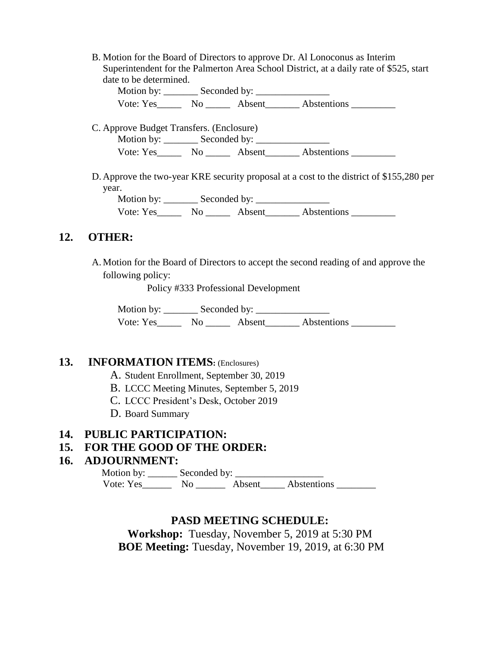B. Motion for the Board of Directors to approve Dr. Al Lonoconus as Interim Superintendent for the Palmerton Area School District, at a daily rate of \$525, start date to be determined.

Motion by: \_\_\_\_\_\_\_ Seconded by: \_\_\_\_\_\_\_\_\_\_\_\_\_\_\_ Vote: Yes Mo Absent Abstentions

C. Approve Budget Transfers. (Enclosure) Motion by: Seconded by: Vote: Yes No Absent Abstentions

D. Approve the two-year KRE security proposal at a cost to the district of \$155,280 per year. Motion by: Seconded by:

Vote: Yes No Absent Abstentions

# **12. OTHER:**

A. Motion for the Board of Directors to accept the second reading of and approve the following policy:

Policy #333 Professional Development

Motion by: \_\_\_\_\_\_\_ Seconded by: \_\_\_\_\_\_\_\_\_\_\_\_\_\_\_ Vote: Yes\_\_\_\_\_\_\_ No \_\_\_\_\_\_ Absent\_\_\_\_\_\_\_ Abstentions \_\_\_\_\_\_\_\_\_

# **13. INFORMATION ITEMS:** (Enclosures)

- A. Student Enrollment, September 30, 2019
- B. LCCC Meeting Minutes, September 5, 2019
- C. LCCC President's Desk, October 2019
- D. Board Summary

#### **14. PUBLIC PARTICIPATION:**

# **15. FOR THE GOOD OF THE ORDER:**

# **16. ADJOURNMENT:**

 Motion by: \_\_\_\_\_\_ Seconded by: \_\_\_\_\_\_\_\_\_\_\_\_\_\_\_\_\_\_ Vote: Yes\_\_\_\_\_\_\_\_ No \_\_\_\_\_\_\_ Absent\_\_\_\_\_ Abstentions \_\_\_\_\_\_\_\_\_

# **PASD MEETING SCHEDULE:**

**Workshop:** Tuesday, November 5, 2019 at 5:30 PM **BOE Meeting:** Tuesday, November 19, 2019, at 6:30 PM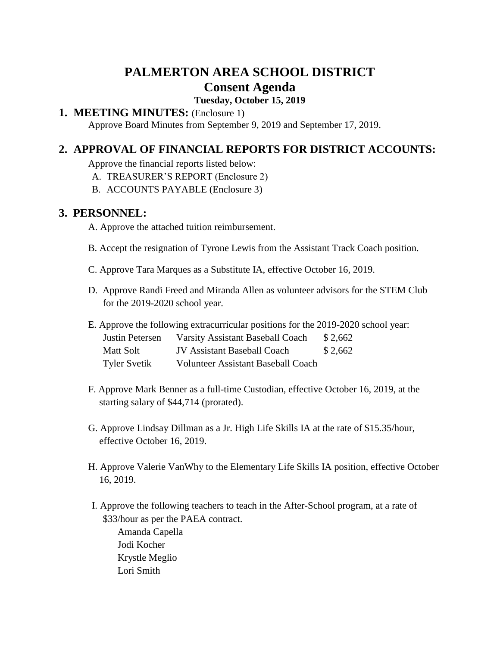# **PALMERTON AREA SCHOOL DISTRICT Consent Agenda**

# **Tuesday, October 15, 2019**

# **1. MEETING MINUTES:** (Enclosure 1)

Approve Board Minutes from September 9, 2019 and September 17, 2019.

# **2. APPROVAL OF FINANCIAL REPORTS FOR DISTRICT ACCOUNTS:**

Approve the financial reports listed below:

- A. TREASURER'S REPORT (Enclosure 2)
- B. ACCOUNTS PAYABLE (Enclosure 3)

## **3. PERSONNEL:**

A. Approve the attached tuition reimbursement.

- B. Accept the resignation of Tyrone Lewis from the Assistant Track Coach position.
- C. Approve Tara Marques as a Substitute IA, effective October 16, 2019.
- D. Approve Randi Freed and Miranda Allen as volunteer advisors for the STEM Club for the 2019-2020 school year.
- E. Approve the following extracurricular positions for the 2019-2020 school year:

| Justin Petersen     | <b>Varsity Assistant Baseball Coach</b>   | \$2,662 |
|---------------------|-------------------------------------------|---------|
| Matt Solt           | <b>JV Assistant Baseball Coach</b>        | \$2,662 |
| <b>Tyler Svetik</b> | <b>Volunteer Assistant Baseball Coach</b> |         |

- F. Approve Mark Benner as a full-time Custodian, effective October 16, 2019, at the starting salary of \$44,714 (prorated).
- G. Approve Lindsay Dillman as a Jr. High Life Skills IA at the rate of \$15.35/hour, effective October 16, 2019.
- H. Approve Valerie VanWhy to the Elementary Life Skills IA position, effective October 16, 2019.
- I. Approve the following teachers to teach in the After-School program, at a rate of \$33/hour as per the PAEA contract.

Amanda Capella Jodi Kocher Krystle Meglio Lori Smith